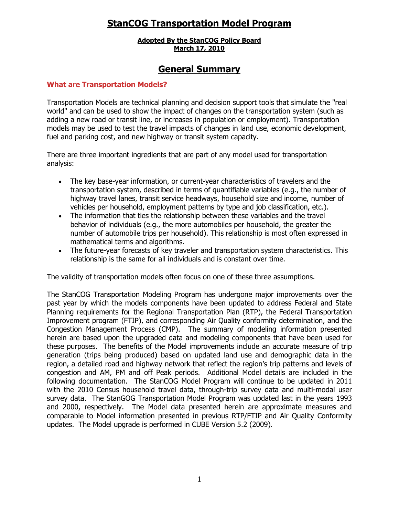# **StanCOG Transportation Model Program**

## **Adopted By the StanCOG Policy Board March 17, 2010**

# **General Summary**

# **What are Transportation Models?**

Transportation Models are technical planning and decision support tools that simulate the "real world" and can be used to show the impact of changes on the transportation system (such as adding a new road or transit line, or increases in population or employment). Transportation models may be used to test the travel impacts of changes in land use, economic development, fuel and parking cost, and new highway or transit system capacity.

There are three important ingredients that are part of any model used for transportation analysis:

- The key base-year information, or current-year characteristics of travelers and the transportation system, described in terms of quantifiable variables (e.g., the number of highway travel lanes, transit service headways, household size and income, number of vehicles per household, employment patterns by type and job classification, etc.).
- The information that ties the relationship between these variables and the travel behavior of individuals (e.g., the more automobiles per household, the greater the number of automobile trips per household). This relationship is most often expressed in mathematical terms and algorithms.
- The future-year forecasts of key traveler and transportation system characteristics. This relationship is the same for all individuals and is constant over time.

The validity of transportation models often focus on one of these three assumptions.

The StanCOG Transportation Modeling Program has undergone major improvements over the past year by which the models components have been updated to address Federal and State Planning requirements for the Regional Transportation Plan (RTP), the Federal Transportation Improvement program (FTIP), and corresponding Air Quality conformity determination, and the Congestion Management Process (CMP). The summary of modeling information presented herein are based upon the upgraded data and modeling components that have been used for these purposes. The benefits of the Model improvements include an accurate measure of trip generation (trips being produced) based on updated land use and demographic data in the region, a detailed road and highway network that reflect the region's trip patterns and levels of congestion and AM, PM and off Peak periods. Additional Model details are included in the following documentation. The StanCOG Model Program will continue to be updated in 2011 with the 2010 Census household travel data, through-trip survey data and multi-modal user survey data. The StanGOG Transportation Model Program was updated last in the years 1993 and 2000, respectively. The Model data presented herein are approximate measures and comparable to Model information presented in previous RTP/FTIP and Air Quality Conformity updates. The Model upgrade is performed in CUBE Version 5.2 (2009).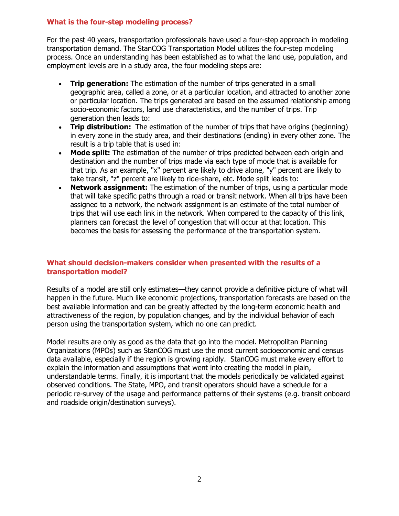## **What is the four-step modeling process?**

For the past 40 years, transportation professionals have used a four-step approach in modeling transportation demand. The StanCOG Transportation Model utilizes the four-step modeling process. Once an understanding has been established as to what the land use, population, and employment levels are in a study area, the four modeling steps are:

- **Trip generation:** The estimation of the number of trips generated in a small geographic area, called a zone, or at a particular location, and attracted to another zone or particular location. The trips generated are based on the assumed relationship among socio-economic factors, land use characteristics, and the number of trips. Trip generation then leads to:
- **Trip distribution:** The estimation of the number of trips that have origins (beginning) in every zone in the study area, and their destinations (ending) in every other zone. The result is a trip table that is used in:
- **Mode split:** The estimation of the number of trips predicted between each origin and destination and the number of trips made via each type of mode that is available for that trip. As an example, "x" percent are likely to drive alone, "y" percent are likely to take transit, "z" percent are likely to ride-share, etc. Mode split leads to:
- **Network assignment:** The estimation of the number of trips, using a particular mode that will take specific paths through a road or transit network. When all trips have been assigned to a network, the network assignment is an estimate of the total number of trips that will use each link in the network. When compared to the capacity of this link, planners can forecast the level of congestion that will occur at that location. This becomes the basis for assessing the performance of the transportation system.

# **What should decision-makers consider when presented with the results of a transportation model?**

Results of a model are still only estimates—they cannot provide a definitive picture of what will happen in the future. Much like economic projections, transportation forecasts are based on the best available information and can be greatly affected by the long-term economic health and attractiveness of the region, by population changes, and by the individual behavior of each person using the transportation system, which no one can predict.

Model results are only as good as the data that go into the model. Metropolitan Planning Organizations (MPOs) such as StanCOG must use the most current socioeconomic and census data available, especially if the region is growing rapidly. StanCOG must make every effort to explain the information and assumptions that went into creating the model in plain, understandable terms. Finally, it is important that the models periodically be validated against observed conditions. The State, MPO, and transit operators should have a schedule for a periodic re-survey of the usage and performance patterns of their systems (e.g. transit onboard and roadside origin/destination surveys).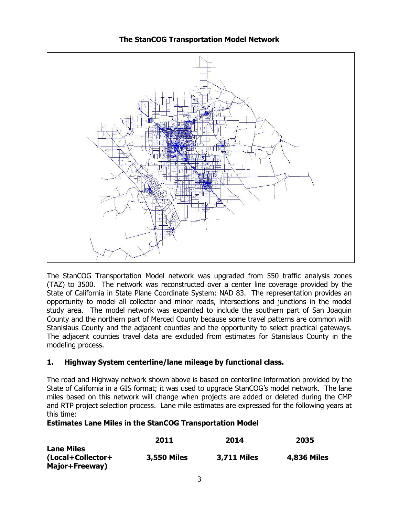

# **The StanCOG Transportation Model Network**

The StanCOG Transportation Model network was upgraded from 550 traffic analysis zones (TAZ) to 3500. The network was reconstructed over a center line coverage provided by the State of California in State Plane Coordinate System: NAD 83. The representation provides an opportunity to model all collector and minor roads, intersections and junctions in the model study area. The model network was expanded to include the southern part of San Joaquin County and the northern part of Merced County because some travel patterns are common with Stanislaus County and the adjacent counties and the opportunity to select practical gateways. The adjacent counties travel data are excluded from estimates for Stanislaus County in the modeling process.

# **1. Highway System centerline/lane mileage by functional class.**

The road and Highway network shown above is based on centerline information provided by the State of California in a GIS format; it was used to upgrade StanCOG's model network. The lane miles based on this network will change when projects are added or deleted during the CMP and RTP project selection process. Lane mile estimates are expressed for the following years at this time:

# **Estimates Lane Miles in the StanCOG Transportation Model**

|                                                          | 2011               | 2014               | 2035               |
|----------------------------------------------------------|--------------------|--------------------|--------------------|
| <b>Lane Miles</b><br>(Local+Collector+<br>Major+Freeway) | <b>3,550 Miles</b> | <b>3,711 Miles</b> | <b>4,836 Miles</b> |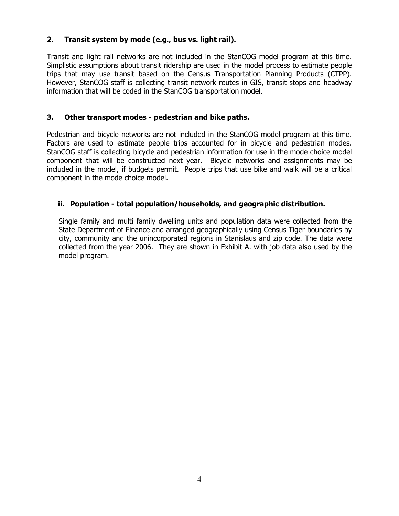# **2. Transit system by mode (e.g., bus vs. light rail).**

Transit and light rail networks are not included in the StanCOG model program at this time. Simplistic assumptions about transit ridership are used in the model process to estimate people trips that may use transit based on the Census Transportation Planning Products (CTPP). However, StanCOG staff is collecting transit network routes in GIS, transit stops and headway information that will be coded in the StanCOG transportation model.

# **3. Other transport modes - pedestrian and bike paths.**

Pedestrian and bicycle networks are not included in the StanCOG model program at this time. Factors are used to estimate people trips accounted for in bicycle and pedestrian modes. StanCOG staff is collecting bicycle and pedestrian information for use in the mode choice model component that will be constructed next year. Bicycle networks and assignments may be included in the model, if budgets permit. People trips that use bike and walk will be a critical component in the mode choice model.

# **ii. Population - total population/households, and geographic distribution.**

Single family and multi family dwelling units and population data were collected from the State Department of Finance and arranged geographically using Census Tiger boundaries by city, community and the unincorporated regions in Stanislaus and zip code. The data were collected from the year 2006. They are shown in Exhibit A. with job data also used by the model program.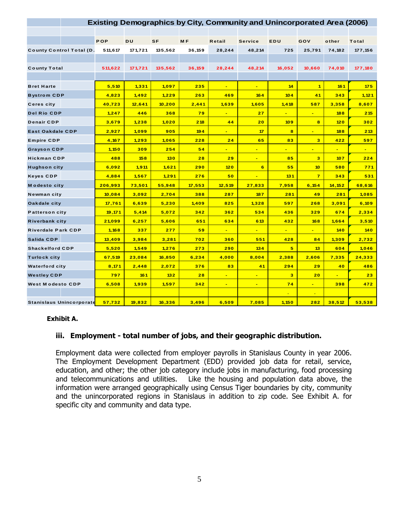| <b>Existing Demographics by City, Community and Unincorporated Area (2006)</b> |            |           |           |                |                |                          |                         |                         |                |                |
|--------------------------------------------------------------------------------|------------|-----------|-----------|----------------|----------------|--------------------------|-------------------------|-------------------------|----------------|----------------|
|                                                                                |            |           |           |                |                |                          |                         |                         |                |                |
|                                                                                | <b>POP</b> | <b>DU</b> | <b>SF</b> | M <sub>F</sub> | Retail         | <b>Service</b>           | EDU                     | GOV                     | other          | Total          |
| <b>County Control Total (D.</b>                                                | 511.617    | 171.721   | 135,562   | 36.159         | 28,244         | 48,214                   | 725                     | 25,791                  | 74,182         | 177,156        |
|                                                                                |            |           |           |                |                |                          |                         |                         |                |                |
| <b>County Total</b>                                                            | 511,622    | 171,721   | 135,562   | 36,159         | 28,244         | 48,214                   | 16,052                  | 10,660                  | 74,010         | 177,180        |
|                                                                                |            |           |           |                |                |                          |                         |                         |                |                |
| <b>Bret Harte</b>                                                              | 5,510      | 1,331     | 1,097     | 235            | $\blacksquare$ | $\overline{\phantom{0}}$ | 14                      | $\blacktriangleleft$    | 161            | 175            |
| <b>Bystrom CDP</b>                                                             | 4,823      | 1,492     | 1,229     | 263            | 469            | 164                      | 104                     | 41                      | 343            | 1,121          |
| <b>Ceres city</b>                                                              | 40,723     | 12,641    | 10,200    | 2,441          | 1,639          | 1,605                    | 1,418                   | 587                     | 3,358          | 8,607          |
| <b>Del Rio CDP</b>                                                             | 1,247      | 446       | 368       | 79             | $\blacksquare$ | 27                       | $\blacksquare$          | $\blacksquare$          | 188            | 215            |
| <b>Denair CDP</b>                                                              | 3,679      | 1,238     | 1,020     | 218            | 44             | 20                       | 109                     | 8                       | 120            | 302            |
| <b>East Oakdale CDP</b>                                                        | 2,927      | 1,099     | 905       | 194            | $\mathbf{u}$ . | 17                       | $\overline{\mathbf{8}}$ | $\blacksquare$          | 188            | 213            |
| <b>Empire CDP</b>                                                              | 4,167      | 1,293     | 1,065     | 228            | 24             | 65                       | 83                      | $\overline{\mathbf{3}}$ | 422            | 597            |
| <b>Grayson CDP</b>                                                             | 1,150      | 309       | 254       | 54             | $\frac{1}{2}$  | $\blacksquare$           | $\blacksquare$          | ٠                       | $\sim$         | $\blacksquare$ |
| <b>Hickman CDP</b>                                                             | 488        | 158       | 130       | 28             | 29             | $\blacksquare$           | 85                      | $\overline{\mathbf{3}}$ | 107            | 224            |
| <b>Hughson city</b>                                                            | 6,092      | 1,911     | 1,621     | 290            | 120            | 6                        | 55                      | 10                      | 580            | 771            |
| <b>Keyes CDP</b>                                                               | 4,884      | 1,567     | 1,291     | 276            | 50             | $\blacksquare$           | 131                     | $\overline{7}$          | 343            | 531            |
| <b>Modesto city</b>                                                            | 206,993    | 73,501    | 55,948    | 17,553         | 12,519         | 27,833                   | 7,958                   | 6,154                   | 14, 152        | 68,616         |
| Newman city                                                                    | 10,084     | 3,092     | 2,704     | 388            | 287            | 187                      | 281                     | 49                      | 281            | 1,085          |
| Oakdale city                                                                   | 17,761     | 6,639     | 5,230     | 1,409          | 825            | 1,328                    | 597                     | 268                     | 3,091          | 6,109          |
| <b>Patterson city</b>                                                          | 19,171     | 5,414     | 5,072     | 342            | 362            | 534                      | 436                     | 329                     | 674            | 2,334          |
| <b>Riverbank city</b>                                                          | 21,099     | 6,257     | 5,606     | 651            | 634            | 613                      | 432                     | 168                     | 1,664          | 3,510          |
| <b>Riverdale Park CDP</b>                                                      | 1,168      | 337       | 277       | 59             | $\blacksquare$ | $\blacksquare$           | $\blacksquare$          | $\blacksquare$          | 140            | 140            |
| Salida CDP                                                                     | 13,409     | 3,984     | 3,281     | 702            | 360            | 551                      | 428                     | 84                      | 1,309          | 2,732          |
| <b>Shackelford CDP</b>                                                         | 5,520      | 1,549     | 1,276     | 273            | 290            | 134                      | 5                       | 13                      | 604            | 1,046          |
| <b>Turlock city</b>                                                            | 67,519     | 23,084    | 16,850    | 6,234          | 4,000          | 8,004                    | 2,388                   | 2,606                   | 7,335          | 24,333         |
| <b>Waterford city</b>                                                          | 8,171      | 2,448     | 2,072     | 376            | 83             | 41                       | 294                     | 29                      | 40             | 486            |
| <b>Westley CDP</b>                                                             | 797        | 161       | 132       | 28             | $\blacksquare$ | $\blacksquare$           | 3                       | 20                      | $\blacksquare$ | 23             |
| <b>West Modesto CDP</b>                                                        | 6,508      | 1,939     | 1,597     | 342            | $\blacksquare$ | $\blacksquare$           | 74                      | $\blacksquare$          | 398            | 472            |
|                                                                                |            |           |           |                |                |                          | $\equiv$                | $\blacksquare$          |                |                |
| Stanislaus Unincorporate                                                       | 57,732     | 19,832    | 16,336    | 3,496          | 6,509          | 7,085                    | 1,150                   | 282                     | 38,512         | 53,538         |

#### **Exhibit A.**

### **iii. Employment - total number of jobs, and their geographic distribution.**

Employment data were collected from employer payrolls in Stanislaus County in year 2006. The Employment Development Department (EDD) provided job data for retail, service, education, and other; the other job category include jobs in manufacturing, food processing and telecommunications and utilities. Like the housing and population data above, the information were arranged geographically using Census Tiger boundaries by city, community and the unincorporated regions in Stanislaus in addition to zip code. See Exhibit A. for specific city and community and data type.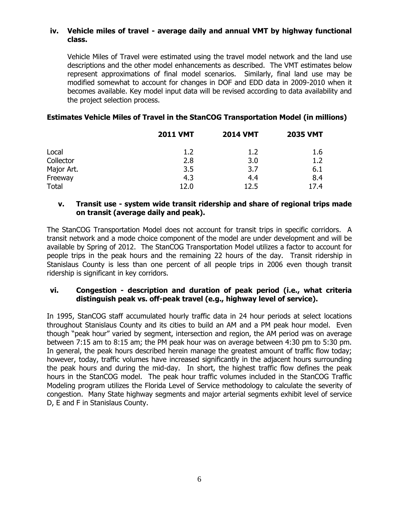## **iv. Vehicle miles of travel - average daily and annual VMT by highway functional class.**

Vehicle Miles of Travel were estimated using the travel model network and the land use descriptions and the other model enhancements as described. The VMT estimates below represent approximations of final model scenarios. Similarly, final land use may be modified somewhat to account for changes in DOF and EDD data in 2009-2010 when it becomes available. Key model input data will be revised according to data availability and the project selection process.

# **Estimates Vehicle Miles of Travel in the StanCOG Transportation Model (in millions)**

|              | <b>2011 VMT</b> | <b>2014 VMT</b> | <b>2035 VMT</b> |
|--------------|-----------------|-----------------|-----------------|
| Local        | 1.2             | 1.2             | 1.6             |
| Collector    | 2.8             | 3.0             | 1.2             |
| Major Art.   | 3.5             | 3.7             | 6.1             |
| Freeway      | 4.3             | 4.4             | 8.4             |
| <b>Total</b> | 12.0            | 12.5            | 17.4            |

## **v. Transit use - system wide transit ridership and share of regional trips made on transit (average daily and peak).**

The StanCOG Transportation Model does not account for transit trips in specific corridors. A transit network and a mode choice component of the model are under development and will be available by Spring of 2012. The StanCOG Transportation Model utilizes a factor to account for people trips in the peak hours and the remaining 22 hours of the day. Transit ridership in Stanislaus County is less than one percent of all people trips in 2006 even though transit ridership is significant in key corridors.

## **vi. Congestion - description and duration of peak period (i.e., what criteria distinguish peak vs. off-peak travel (e.g., highway level of service).**

In 1995, StanCOG staff accumulated hourly traffic data in 24 hour periods at select locations throughout Stanislaus County and its cities to build an AM and a PM peak hour model. Even though "peak hour" varied by segment, intersection and region, the AM period was on average between 7:15 am to 8:15 am; the PM peak hour was on average between 4:30 pm to 5:30 pm. In general, the peak hours described herein manage the greatest amount of traffic flow today; however, today, traffic volumes have increased significantly in the adjacent hours surrounding the peak hours and during the mid-day. In short, the highest traffic flow defines the peak hours in the StanCOG model. The peak hour traffic volumes included in the StanCOG Traffic Modeling program utilizes the Florida Level of Service methodology to calculate the severity of congestion. Many State highway segments and major arterial segments exhibit level of service D, E and F in Stanislaus County.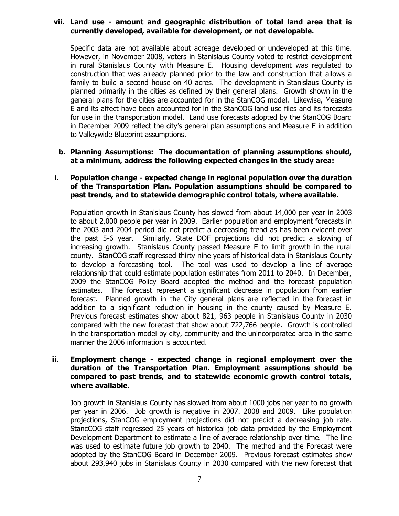#### **vii. Land use - amount and geographic distribution of total land area that is currently developed, available for development, or not developable.**

Specific data are not available about acreage developed or undeveloped at this time. However, in November 2008, voters in Stanislaus County voted to restrict development in rural Stanislaus County with Measure E. Housing development was regulated to construction that was already planned prior to the law and construction that allows a family to build a second house on 40 acres. The development in Stanislaus County is planned primarily in the cities as defined by their general plans. Growth shown in the general plans for the cities are accounted for in the StanCOG model. Likewise, Measure E and its affect have been accounted for in the StanCOG land use files and its forecasts for use in the transportation model. Land use forecasts adopted by the StanCOG Board in December 2009 reflect the city's general plan assumptions and Measure E in addition to Valleywide Blueprint assumptions.

### **b. Planning Assumptions: The documentation of planning assumptions should, at a minimum, address the following expected changes in the study area:**

## **i. Population change - expected change in regional population over the duration of the Transportation Plan. Population assumptions should be compared to past trends, and to statewide demographic control totals, where available.**

Population growth in Stanislaus County has slowed from about 14,000 per year in 2003 to about 2,000 people per year in 2009. Earlier population and employment forecasts in the 2003 and 2004 period did not predict a decreasing trend as has been evident over the past 5-6 year. Similarly, State DOF projections did not predict a slowing of increasing growth. Stanislaus County passed Measure E to limit growth in the rural county. StanCOG staff regressed thirty nine years of historical data in Stanislaus County to develop a forecasting tool. The tool was used to develop a line of average relationship that could estimate population estimates from 2011 to 2040. In December, 2009 the StanCOG Policy Board adopted the method and the forecast population estimates. The forecast represent a significant decrease in population from earlier forecast. Planned growth in the City general plans are reflected in the forecast in addition to a significant reduction in housing in the county caused by Measure E. Previous forecast estimates show about 821, 963 people in Stanislaus County in 2030 compared with the new forecast that show about 722,766 people. Growth is controlled in the transportation model by city, community and the unincorporated area in the same manner the 2006 information is accounted.

### **ii. Employment change - expected change in regional employment over the duration of the Transportation Plan. Employment assumptions should be compared to past trends, and to statewide economic growth control totals, where available.**

Job growth in Stanislaus County has slowed from about 1000 jobs per year to no growth per year in 2006. Job growth is negative in 2007. 2008 and 2009. Like population projections, StanCOG employment projections did not predict a decreasing job rate. StancCOG staff regressed 25 years of historical job data provided by the Employment Development Department to estimate a line of average relationship over time. The line was used to estimate future job growth to 2040. The method and the Forecast were adopted by the StanCOG Board in December 2009. Previous forecast estimates show about 293,940 jobs in Stanislaus County in 2030 compared with the new forecast that